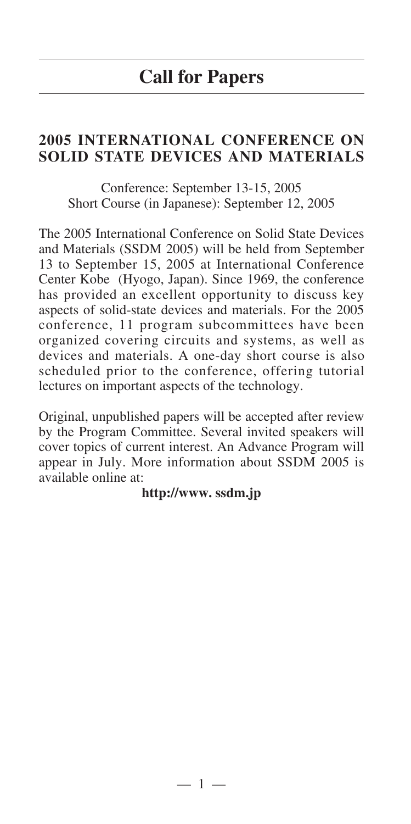## **2005 INTERNATIONAL CONFERENCE ON SOLID STATE DEVICES AND MATERIALS**

Conference: September 13-15, 2005 Short Course (in Japanese): September 12, 2005

The 2005 International Conference on Solid State Devices and Materials (SSDM 2005) will be held from September 13 to September 15, 2005 at International Conference Center Kobe (Hyogo, Japan). Since 1969, the conference has provided an excellent opportunity to discuss key aspects of solid-state devices and materials. For the 2005 conference, 11 program subcommittees have been organized covering circuits and systems, as well as devices and materials. A one-day short course is also scheduled prior to the conference, offering tutorial lectures on important aspects of the technology.

Original, unpublished papers will be accepted after review by the Program Committee. Several invited speakers will cover topics of current interest. An Advance Program will appear in July. More information about SSDM 2005 is available online at:

**http://www. ssdm.jp**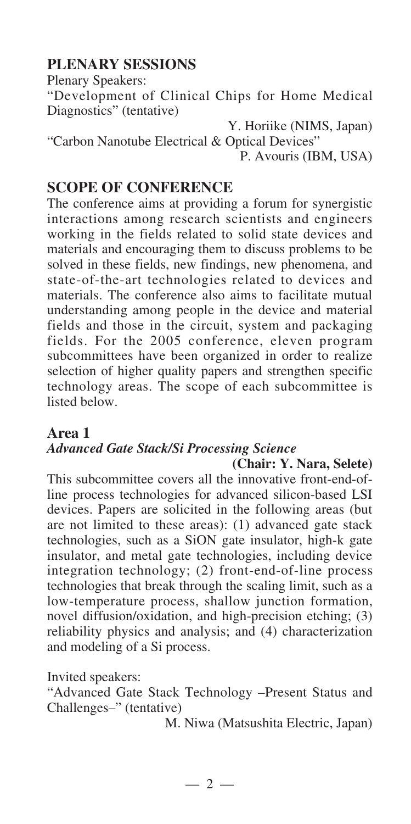## **PLENARY SESSIONS**

Plenary Speakers:

"Development of Clinical Chips for Home Medical Diagnostics" (tentative)

Y. Horiike (NIMS, Japan) "Carbon Nanotube Electrical & Optical Devices" P. Avouris (IBM, USA)

## **SCOPE OF CONFERENCE**

The conference aims at providing a forum for synergistic interactions among research scientists and engineers working in the fields related to solid state devices and materials and encouraging them to discuss problems to be solved in these fields, new findings, new phenomena, and state-of-the-art technologies related to devices and materials. The conference also aims to facilitate mutual understanding among people in the device and material fields and those in the circuit, system and packaging fields. For the 2005 conference, eleven program subcommittees have been organized in order to realize selection of higher quality papers and strengthen specific technology areas. The scope of each subcommittee is listed below.

#### **Area 1** *Advanced Gate Stack/Si Processing Science* **(Chair: Y. Nara, Selete)**

This subcommittee covers all the innovative front-end-ofline process technologies for advanced silicon-based LSI devices. Papers are solicited in the following areas (but are not limited to these areas): (1) advanced gate stack technologies, such as a SiON gate insulator, high-k gate insulator, and metal gate technologies, including device integration technology; (2) front-end-of-line process technologies that break through the scaling limit, such as a low-temperature process, shallow junction formation, novel diffusion/oxidation, and high-precision etching; (3) reliability physics and analysis; and (4) characterization and modeling of a Si process.

Invited speakers:

"Advanced Gate Stack Technology –Present Status and Challenges–" (tentative)

M. Niwa (Matsushita Electric, Japan)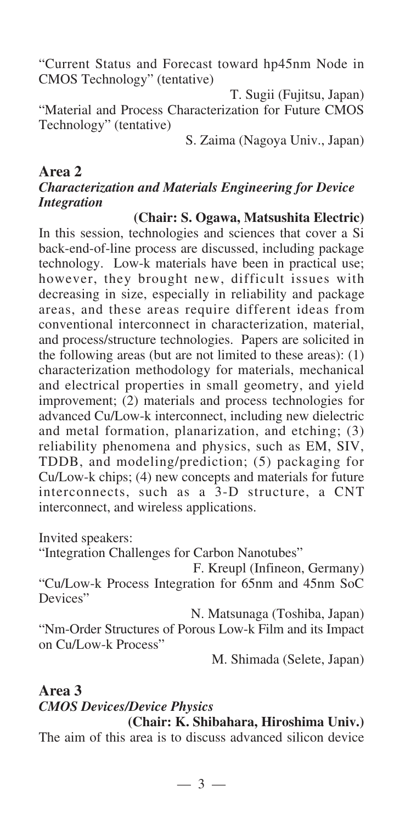"Current Status and Forecast toward hp45nm Node in CMOS Technology" (tentative)

T. Sugii (Fujitsu, Japan) "Material and Process Characterization for Future CMOS Technology" (tentative)

S. Zaima (Nagoya Univ., Japan)

#### **Area 2** *Characterization and Materials Engineering for Device Integration*

**(Chair: S. Ogawa, Matsushita Electric)** In this session, technologies and sciences that cover a Si back-end-of-line process are discussed, including package technology. Low-k materials have been in practical use; however, they brought new, difficult issues with decreasing in size, especially in reliability and package areas, and these areas require different ideas from conventional interconnect in characterization, material, and process/structure technologies. Papers are solicited in the following areas (but are not limited to these areas): (1) characterization methodology for materials, mechanical and electrical properties in small geometry, and yield improvement; (2) materials and process technologies for advanced Cu/Low-k interconnect, including new dielectric and metal formation, planarization, and etching; (3) reliability phenomena and physics, such as EM, SIV, TDDB, and modeling/prediction; (5) packaging for Cu/Low-k chips; (4) new concepts and materials for future interconnects, such as a 3-D structure, a CNT interconnect, and wireless applications.

Invited speakers:

"Integration Challenges for Carbon Nanotubes"

F. Kreupl (Infineon, Germany) "Cu/Low-k Process Integration for 65nm and 45nm SoC Devices"

N. Matsunaga (Toshiba, Japan) "Nm-Order Structures of Porous Low-k Film and its Impact on Cu/Low-k Process"

M. Shimada (Selete, Japan)

## **Area 3** *CMOS Devices/Device Physics*

**(Chair: K. Shibahara, Hiroshima Univ.)** The aim of this area is to discuss advanced silicon device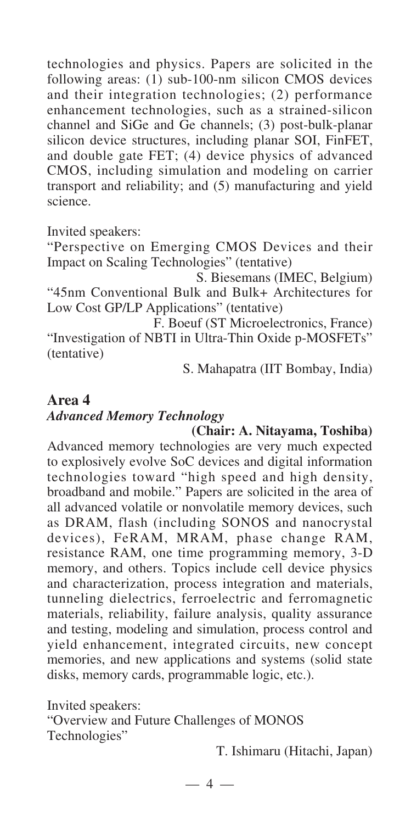technologies and physics. Papers are solicited in the following areas: (1) sub-100-nm silicon CMOS devices and their integration technologies; (2) performance enhancement technologies, such as a strained-silicon channel and SiGe and Ge channels; (3) post-bulk-planar silicon device structures, including planar SOI, FinFET, and double gate FET; (4) device physics of advanced CMOS, including simulation and modeling on carrier transport and reliability; and (5) manufacturing and yield science.

Invited speakers:

"Perspective on Emerging CMOS Devices and their Impact on Scaling Technologies" (tentative)

S. Biesemans (IMEC, Belgium) "45nm Conventional Bulk and Bulk+ Architectures for Low Cost GP/LP Applications" (tentative)

F. Boeuf (ST Microelectronics, France) "Investigation of NBTI in Ultra-Thin Oxide p-MOSFETs" (tentative)

S. Mahapatra (IIT Bombay, India)

## **Area 4** *Advanced Memory Technology*

**(Chair: A. Nitayama, Toshiba)** Advanced memory technologies are very much expected to explosively evolve SoC devices and digital information technologies toward "high speed and high density, broadband and mobile." Papers are solicited in the area of all advanced volatile or nonvolatile memory devices, such as DRAM, flash (including SONOS and nanocrystal devices), FeRAM, MRAM, phase change RAM, resistance RAM, one time programming memory, 3-D memory, and others. Topics include cell device physics and characterization, process integration and materials, tunneling dielectrics, ferroelectric and ferromagnetic materials, reliability, failure analysis, quality assurance and testing, modeling and simulation, process control and yield enhancement, integrated circuits, new concept memories, and new applications and systems (solid state disks, memory cards, programmable logic, etc.).

Invited speakers: "Overview and Future Challenges of MONOS Technologies"

T. Ishimaru (Hitachi, Japan)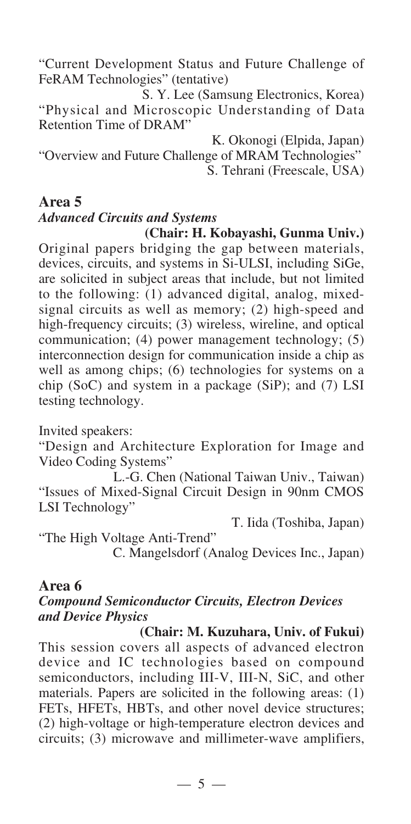"Current Development Status and Future Challenge of FeRAM Technologies" (tentative)

S. Y. Lee (Samsung Electronics, Korea) "Physical and Microscopic Understanding of Data Retention Time of DRAM"

K. Okonogi (Elpida, Japan)

"Overview and Future Challenge of MRAM Technologies" S. Tehrani (Freescale, USA)

### **Area 5**

# *Advanced Circuits and Systems*

**(Chair: H. Kobayashi, Gunma Univ.)** Original papers bridging the gap between materials, devices, circuits, and systems in Si-ULSI, including SiGe, are solicited in subject areas that include, but not limited to the following: (1) advanced digital, analog, mixedsignal circuits as well as memory; (2) high-speed and high-frequency circuits; (3) wireless, wireline, and optical communication; (4) power management technology; (5) interconnection design for communication inside a chip as well as among chips; (6) technologies for systems on a chip (SoC) and system in a package (SiP); and (7) LSI

testing technology.

Invited speakers:

"Design and Architecture Exploration for Image and Video Coding Systems"

L.-G. Chen (National Taiwan Univ., Taiwan) "Issues of Mixed-Signal Circuit Design in 90nm CMOS LSI Technology"

T. Iida (Toshiba, Japan)

"The High Voltage Anti-Trend"

C. Mangelsdorf (Analog Devices Inc., Japan)

#### **Area 6**

#### *Compound Semiconductor Circuits, Electron Devices and Device Physics*

**(Chair: M. Kuzuhara, Univ. of Fukui)**  This session covers all aspects of advanced electron device and IC technologies based on compound semiconductors, including III-V, III-N, SiC, and other materials. Papers are solicited in the following areas: (1) FETs, HFETs, HBTs, and other novel device structures; (2) high-voltage or high-temperature electron devices and circuits; (3) microwave and millimeter-wave amplifiers,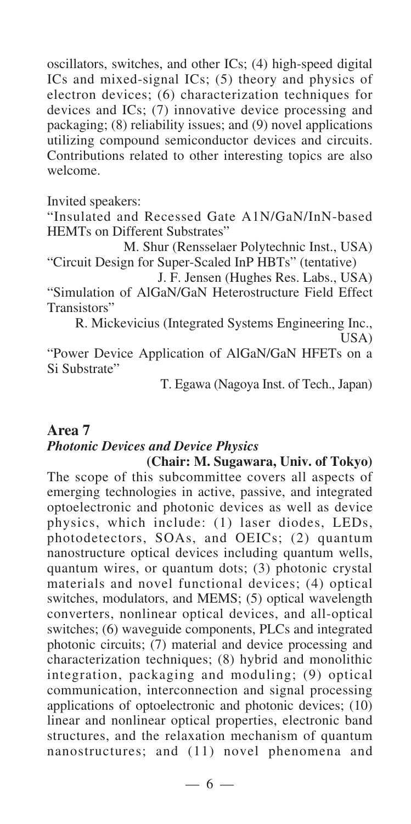oscillators, switches, and other ICs; (4) high-speed digital ICs and mixed-signal ICs; (5) theory and physics of electron devices; (6) characterization techniques for devices and ICs; (7) innovative device processing and packaging; (8) reliability issues; and (9) novel applications utilizing compound semiconductor devices and circuits. Contributions related to other interesting topics are also welcome.

Invited speakers:

"Insulated and Recessed Gate A1N/GaN/InN-based HEMTs on Different Substrates"

M. Shur (Rensselaer Polytechnic Inst., USA) "Circuit Design for Super-Scaled InP HBTs" (tentative)

J. F. Jensen (Hughes Res. Labs., USA)

"Simulation of AlGaN/GaN Heterostructure Field Effect Transistors"

R. Mickevicius (Integrated Systems Engineering Inc.,

USA)

"Power Device Application of AlGaN/GaN HFETs on a Si Substrate"

T. Egawa (Nagoya Inst. of Tech., Japan)

## **Area 7** *Photonic Devices and Device Physics*

**(Chair: M. Sugawara, Univ. of Tokyo)** The scope of this subcommittee covers all aspects of emerging technologies in active, passive, and integrated optoelectronic and photonic devices as well as device physics, which include: (1) laser diodes, LEDs, photodetectors, SOAs, and OEICs; (2) quantum nanostructure optical devices including quantum wells, quantum wires, or quantum dots; (3) photonic crystal materials and novel functional devices; (4) optical switches, modulators, and MEMS; (5) optical wavelength converters, nonlinear optical devices, and all-optical switches; (6) waveguide components, PLCs and integrated photonic circuits; (7) material and device processing and characterization techniques; (8) hybrid and monolithic integration, packaging and moduling; (9) optical communication, interconnection and signal processing applications of optoelectronic and photonic devices; (10) linear and nonlinear optical properties, electronic band structures, and the relaxation mechanism of quantum nanostructures; and (11) novel phenomena and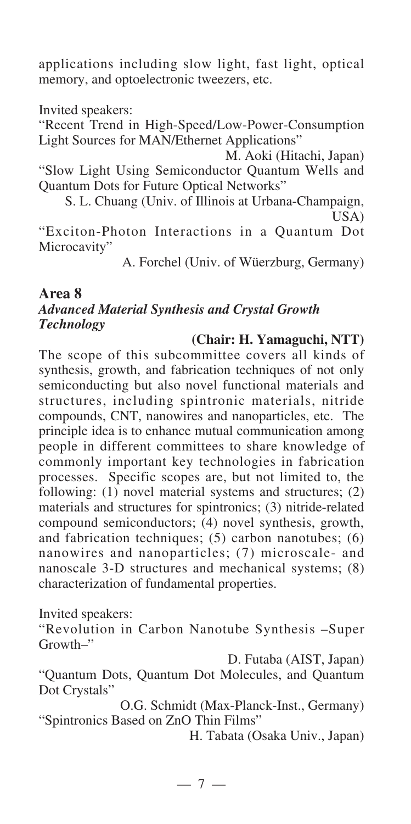applications including slow light, fast light, optical memory, and optoelectronic tweezers, etc.

Invited speakers:

"Recent Trend in High-Speed/Low-Power-Consumption Light Sources for MAN/Ethernet Applications"

M. Aoki (Hitachi, Japan)

"Slow Light Using Semiconductor Quantum Wells and Quantum Dots for Future Optical Networks"

S. L. Chuang (Univ. of Illinois at Urbana-Champaign, USA)

"Exciton-Photon Interactions in a Quantum Dot Microcavity"

A. Forchel (Univ. of Wüerzburg, Germany)

### **Area 8** *Advanced Material Synthesis and Crystal Growth Technology*

#### **(Chair: H. Yamaguchi, NTT)**

The scope of this subcommittee covers all kinds of synthesis, growth, and fabrication techniques of not only semiconducting but also novel functional materials and structures, including spintronic materials, nitride compounds, CNT, nanowires and nanoparticles, etc. The principle idea is to enhance mutual communication among people in different committees to share knowledge of commonly important key technologies in fabrication processes. Specific scopes are, but not limited to, the following: (1) novel material systems and structures; (2) materials and structures for spintronics; (3) nitride-related compound semiconductors; (4) novel synthesis, growth, and fabrication techniques; (5) carbon nanotubes; (6) nanowires and nanoparticles; (7) microscale- and nanoscale 3-D structures and mechanical systems; (8) characterization of fundamental properties.

Invited speakers:

"Revolution in Carbon Nanotube Synthesis –Super Growth–"

D. Futaba (AIST, Japan)

"Quantum Dots, Quantum Dot Molecules, and Quantum Dot Crystals"

O.G. Schmidt (Max-Planck-Inst., Germany) "Spintronics Based on ZnO Thin Films"

H. Tabata (Osaka Univ., Japan)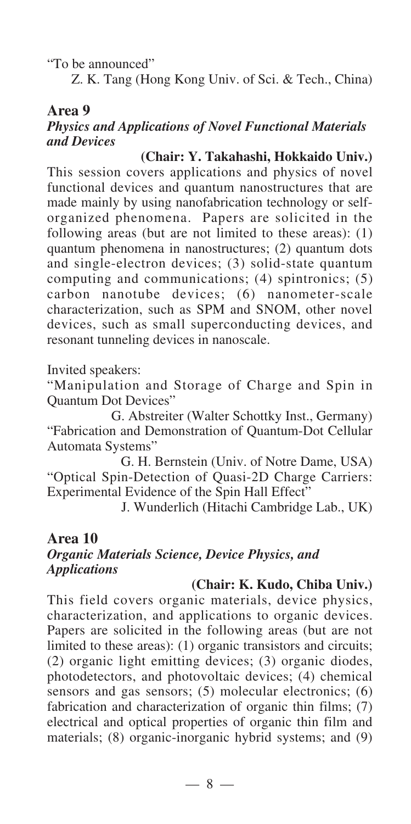"To be announced"

Z. K. Tang (Hong Kong Univ. of Sci. & Tech., China)

### **Area 9**

### *Physics and Applications of Novel Functional Materials and Devices*

### **(Chair: Y. Takahashi, Hokkaido Univ.)**

This session covers applications and physics of novel functional devices and quantum nanostructures that are made mainly by using nanofabrication technology or selforganized phenomena. Papers are solicited in the following areas (but are not limited to these areas): (1) quantum phenomena in nanostructures; (2) quantum dots and single-electron devices; (3) solid-state quantum computing and communications; (4) spintronics; (5) carbon nanotube devices; (6) nanometer-scale characterization, such as SPM and SNOM, other novel devices, such as small superconducting devices, and resonant tunneling devices in nanoscale.

Invited speakers:

"Manipulation and Storage of Charge and Spin in Quantum Dot Devices"

G. Abstreiter (Walter Schottky Inst., Germany) "Fabrication and Demonstration of Quantum-Dot Cellular Automata Systems"

G. H. Bernstein (Univ. of Notre Dame, USA) "Optical Spin-Detection of Quasi-2D Charge Carriers: Experimental Evidence of the Spin Hall Effect"

J. Wunderlich (Hitachi Cambridge Lab., UK)

#### **Area 10** *Organic Materials Science, Device Physics, and Applications*

#### **(Chair: K. Kudo, Chiba Univ.)**

This field covers organic materials, device physics, characterization, and applications to organic devices. Papers are solicited in the following areas (but are not limited to these areas): (1) organic transistors and circuits; (2) organic light emitting devices; (3) organic diodes, photodetectors, and photovoltaic devices; (4) chemical sensors and gas sensors; (5) molecular electronics; (6) fabrication and characterization of organic thin films; (7) electrical and optical properties of organic thin film and materials; (8) organic-inorganic hybrid systems; and (9)

— 8 —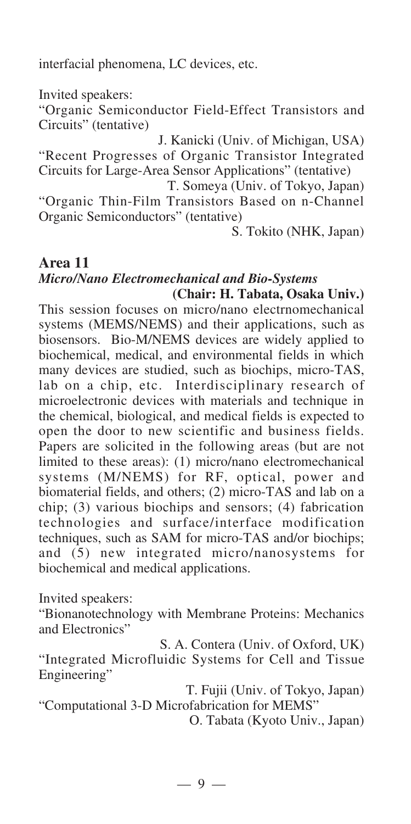interfacial phenomena, LC devices, etc.

Invited speakers:

"Organic Semiconductor Field-Effect Transistors and Circuits" (tentative)

J. Kanicki (Univ. of Michigan, USA) "Recent Progresses of Organic Transistor Integrated Circuits for Large-Area Sensor Applications" (tentative)

T. Someya (Univ. of Tokyo, Japan) "Organic Thin-Film Transistors Based on n-Channel Organic Semiconductors" (tentative)

S. Tokito (NHK, Japan)

#### **Area 11** *Micro/Nano Electromechanical and Bio-Systems*  **(Chair: H. Tabata, Osaka Univ.)**

This session focuses on micro/nano electrnomechanical systems (MEMS/NEMS) and their applications, such as biosensors. Bio-M/NEMS devices are widely applied to biochemical, medical, and environmental fields in which many devices are studied, such as biochips, micro-TAS, lab on a chip, etc. Interdisciplinary research of microelectronic devices with materials and technique in the chemical, biological, and medical fields is expected to open the door to new scientific and business fields. Papers are solicited in the following areas (but are not limited to these areas): (1) micro/nano electromechanical systems (M/NEMS) for RF, optical, power and biomaterial fields, and others; (2) micro-TAS and lab on a chip; (3) various biochips and sensors; (4) fabrication technologies and surface/interface modification techniques, such as SAM for micro-TAS and/or biochips; and (5) new integrated micro/nanosystems for biochemical and medical applications.

Invited speakers:

"Bionanotechnology with Membrane Proteins: Mechanics and Electronics"

S. A. Contera (Univ. of Oxford, UK) "Integrated Microfluidic Systems for Cell and Tissue Engineering"

T. Fujii (Univ. of Tokyo, Japan) "Computational 3-D Microfabrication for MEMS"

O. Tabata (Kyoto Univ., Japan)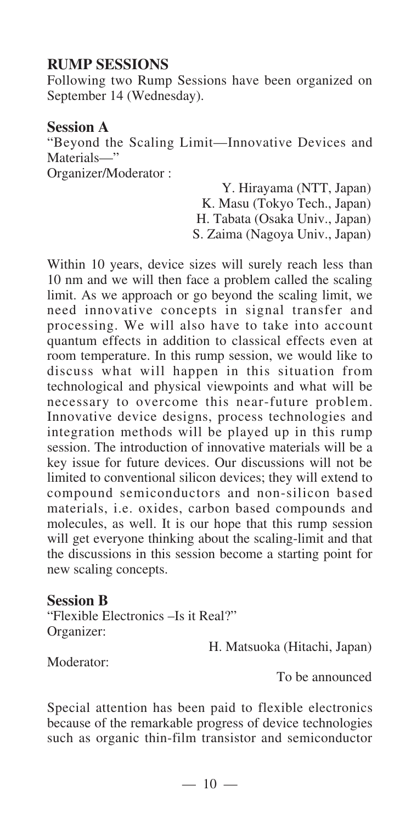## **RUMP SESSIONS**

Following two Rump Sessions have been organized on September 14 (Wednesday).

### **Session A**

"Beyond the Scaling Limit—Innovative Devices and Materials—"

Organizer/Moderator :

Y. Hirayama (NTT, Japan) K. Masu (Tokyo Tech., Japan)

H. Tabata (Osaka Univ., Japan)

S. Zaima (Nagoya Univ., Japan)

Within 10 years, device sizes will surely reach less than 10 nm and we will then face a problem called the scaling limit. As we approach or go beyond the scaling limit, we need innovative concepts in signal transfer and processing. We will also have to take into account quantum effects in addition to classical effects even at room temperature. In this rump session, we would like to discuss what will happen in this situation from technological and physical viewpoints and what will be necessary to overcome this near-future problem. Innovative device designs, process technologies and integration methods will be played up in this rump session. The introduction of innovative materials will be a key issue for future devices. Our discussions will not be limited to conventional silicon devices; they will extend to compound semiconductors and non-silicon based materials, i.e. oxides, carbon based compounds and molecules, as well. It is our hope that this rump session will get everyone thinking about the scaling-limit and that the discussions in this session become a starting point for new scaling concepts.

#### **Session B**

"Flexible Electronics –Is it Real?" Organizer:

H. Matsuoka (Hitachi, Japan)

Moderator:

To be announced

Special attention has been paid to flexible electronics because of the remarkable progress of device technologies such as organic thin-film transistor and semiconductor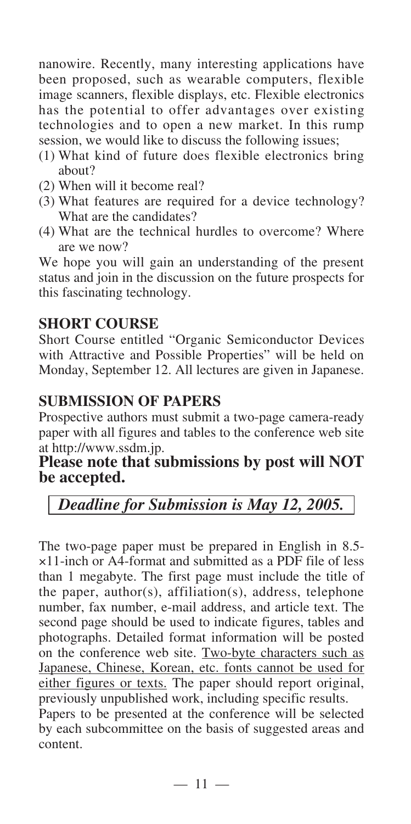nanowire. Recently, many interesting applications have been proposed, such as wearable computers, flexible image scanners, flexible displays, etc. Flexible electronics has the potential to offer advantages over existing technologies and to open a new market. In this rump session, we would like to discuss the following issues;

- (1) What kind of future does flexible electronics bring about?
- (2) When will it become real?
- (3) What features are required for a device technology? What are the candidates?
- (4) What are the technical hurdles to overcome? Where are we now?

We hope you will gain an understanding of the present status and join in the discussion on the future prospects for this fascinating technology.

### **SHORT COURSE**

Short Course entitled "Organic Semiconductor Devices with Attractive and Possible Properties" will be held on Monday, September 12. All lectures are given in Japanese.

### **SUBMISSION OF PAPERS**

Prospective authors must submit a two-page camera-ready paper with all figures and tables to the conference web site at http://www.ssdm.jp.

### Please note that submissions by post will NOT **be accepted.**

## *Deadline for Submission is May 12, 2005.*

The two-page paper must be prepared in English in 8.5- ×11-inch or A4-format and submitted as a PDF file of less than 1 megabyte. The first page must include the title of the paper, author(s), affiliation(s), address, telephone number, fax number, e-mail address, and article text. The second page should be used to indicate figures, tables and photographs. Detailed format information will be posted on the conference web site. Two-byte characters such as Japanese, Chinese, Korean, etc. fonts cannot be used for either figures or texts. The paper should report original, previously unpublished work, including specific results.

Papers to be presented at the conference will be selected by each subcommittee on the basis of suggested areas and content.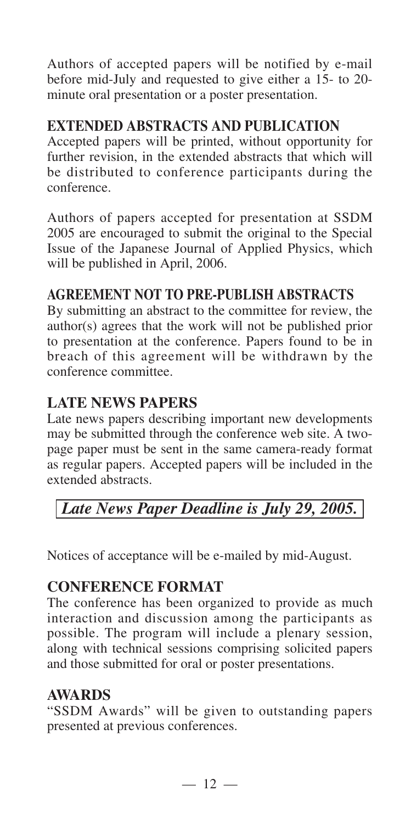Authors of accepted papers will be notified by e-mail before mid-July and requested to give either a 15- to 20 minute oral presentation or a poster presentation.

## **EXTENDED ABSTRACTS AND PUBLICATION**

Accepted papers will be printed, without opportunity for further revision, in the extended abstracts that which will be distributed to conference participants during the conference.

Authors of papers accepted for presentation at SSDM 2005 are encouraged to submit the original to the Special Issue of the Japanese Journal of Applied Physics, which will be published in April, 2006.

## **AGREEMENT NOT TO PRE-PUBLISH ABSTRACTS**

By submitting an abstract to the committee for review, the author(s) agrees that the work will not be published prior to presentation at the conference. Papers found to be in breach of this agreement will be withdrawn by the conference committee.

## **LATE NEWS PAPERS**

Late news papers describing important new developments may be submitted through the conference web site. A twopage paper must be sent in the same camera-ready format as regular papers. Accepted papers will be included in the extended abstracts.

# *Late News Paper Deadline is July 29, 2005.*

Notices of acceptance will be e-mailed by mid-August.

## **CONFERENCE FORMAT**

The conference has been organized to provide as much interaction and discussion among the participants as possible. The program will include a plenary session, along with technical sessions comprising solicited papers and those submitted for oral or poster presentations.

## **AWARDS**

"SSDM Awards" will be given to outstanding papers presented at previous conferences.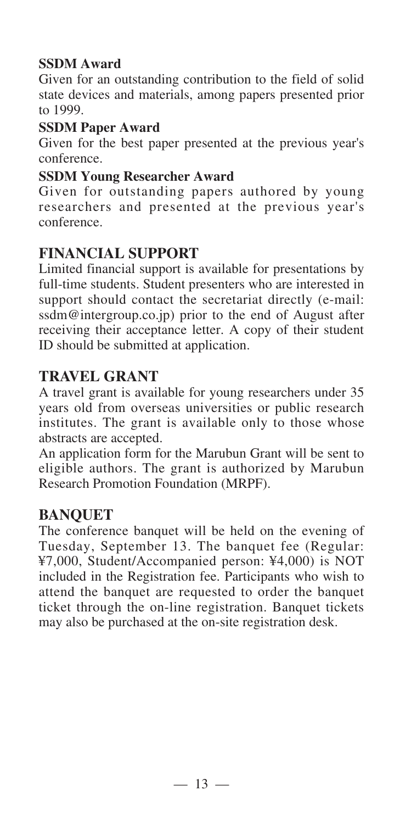## **SSDM Award**

Given for an outstanding contribution to the field of solid state devices and materials, among papers presented prior to 1999.

### **SSDM Paper Award**

Given for the best paper presented at the previous year's conference.

### **SSDM Young Researcher Award**

Given for outstanding papers authored by young researchers and presented at the previous year's conference.

## **FINANCIAL SUPPORT**

Limited financial support is available for presentations by full-time students. Student presenters who are interested in support should contact the secretariat directly (e-mail: ssdm@intergroup.co.jp) prior to the end of August after receiving their acceptance letter. A copy of their student ID should be submitted at application.

## **TRAVEL GRANT**

A travel grant is available for young researchers under 35 years old from overseas universities or public research institutes. The grant is available only to those whose abstracts are accepted.

An application form for the Marubun Grant will be sent to eligible authors. The grant is authorized by Marubun Research Promotion Foundation (MRPF).

### **BANQUET**

The conference banquet will be held on the evening of Tuesday, September 13. The banquet fee (Regular: ¥7,000, Student/Accompanied person: ¥4,000) is NOT included in the Registration fee. Participants who wish to attend the banquet are requested to order the banquet ticket through the on-line registration. Banquet tickets may also be purchased at the on-site registration desk.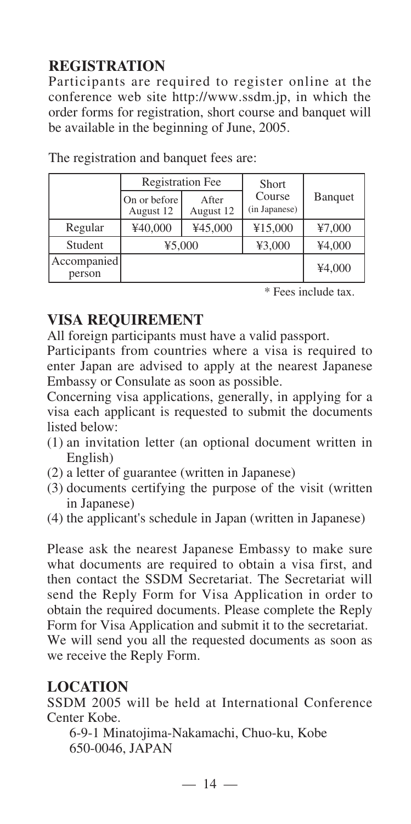# **REGISTRATION**

Participants are required to register online at the conference web site http://www.ssdm.jp, in which the order forms for registration, short course and banquet will be available in the beginning of June, 2005.

|                       | <b>Registration Fee</b>   |                    | <b>Short</b>            |                 |
|-----------------------|---------------------------|--------------------|-------------------------|-----------------|
|                       | On or before<br>August 12 | After<br>August 12 | Course<br>(in Japanese) | <b>B</b> anquet |
| Regular               | ¥40,000                   | ¥45,000            | ¥15,000                 | 47,000          |
| Student               | ¥5,000                    |                    | ¥3,000                  | ¥4,000          |
| Accompanied<br>person |                           |                    |                         | ¥4,000          |

The registration and banquet fees are:

\* Fees include tax.

## **VISA REQUIREMENT**

All foreign participants must have a valid passport.

Participants from countries where a visa is required to enter Japan are advised to apply at the nearest Japanese Embassy or Consulate as soon as possible.

Concerning visa applications, generally, in applying for a visa each applicant is requested to submit the documents listed below:

- (1) an invitation letter (an optional document written in English)
- (2) a letter of guarantee (written in Japanese)
- (3) documents certifying the purpose of the visit (written in Japanese)
- (4) the applicant's schedule in Japan (written in Japanese)

Please ask the nearest Japanese Embassy to make sure what documents are required to obtain a visa first, and then contact the SSDM Secretariat. The Secretariat will send the Reply Form for Visa Application in order to obtain the required documents. Please complete the Reply Form for Visa Application and submit it to the secretariat. We will send you all the requested documents as soon as we receive the Reply Form.

## **LOCATION**

SSDM 2005 will be held at International Conference Center Kobe.

6-9-1 Minatojima-Nakamachi, Chuo-ku, Kobe 650-0046, JAPAN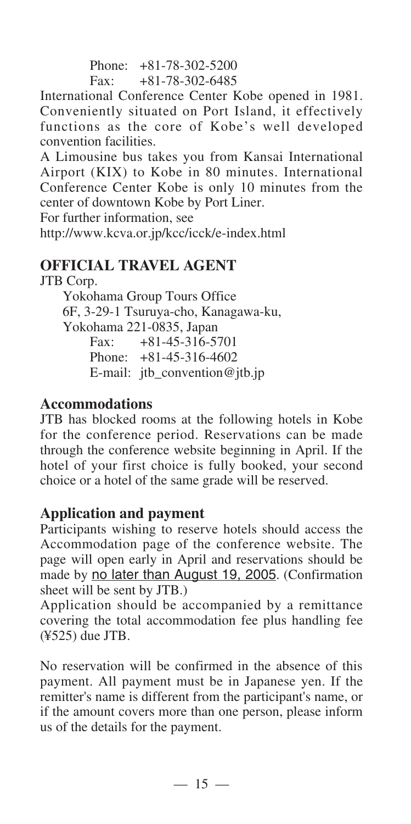Phone: +81-78-302-5200 Fax: +81-78-302-6485

International Conference Center Kobe opened in 1981. Conveniently situated on Port Island, it effectively functions as the core of Kobe's well developed convention facilities.

A Limousine bus takes you from Kansai International Airport (KIX) to Kobe in 80 minutes. International Conference Center Kobe is only 10 minutes from the center of downtown Kobe by Port Liner.

For further information, see

http://www.kcva.or.jp/kcc/icck/e-index.html

## **OFFICIAL TRAVEL AGENT**

JTB Corp.

Yokohama Group Tours Office 6F, 3-29-1 Tsuruya-cho, Kanagawa-ku, Yokohama 221-0835, Japan Fax: +81-45-316-5701 Phone: +81-45-316-4602 E-mail: jtb\_convention@jtb.jp

### **Accommodations**

JTB has blocked rooms at the following hotels in Kobe for the conference period. Reservations can be made through the conference website beginning in April. If the hotel of your first choice is fully booked, your second choice or a hotel of the same grade will be reserved.

### **Application and payment**

Participants wishing to reserve hotels should access the Accommodation page of the conference website. The page will open early in April and reservations should be made by no later than August 19, 2005. (Confirmation sheet will be sent by JTB.)

Application should be accompanied by a remittance covering the total accommodation fee plus handling fee (¥525) due JTB.

No reservation will be confirmed in the absence of this payment. All payment must be in Japanese yen. If the remitter's name is different from the participant's name, or if the amount covers more than one person, please inform us of the details for the payment.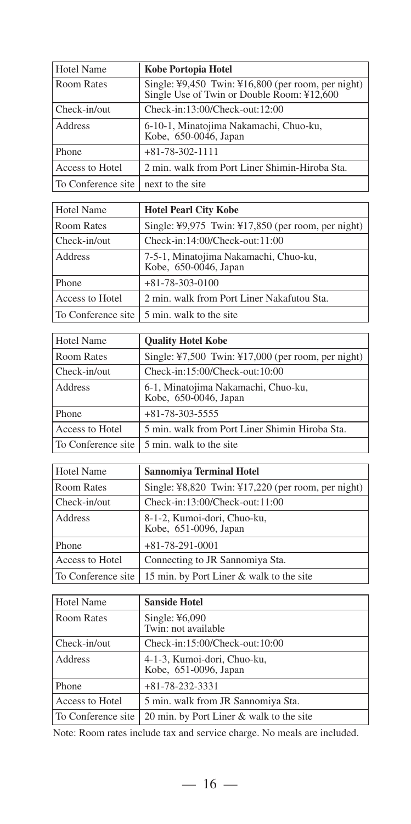| Hotel Name         | Kobe Portopia Hotel                                                                                                      |
|--------------------|--------------------------------------------------------------------------------------------------------------------------|
| Room Rates         | Single: $\frac{1}{2}9.450$ Twin: $\frac{1}{2}16.800$ (per room, per night)<br>Single Use of Twin or Double Room: ¥12,600 |
| Check-in/out       | Check-in:13:00/Check-out:12:00                                                                                           |
| Address            | 6-10-1, Minatojima Nakamachi, Chuo-ku,<br>Kobe, 650-0046, Japan                                                          |
| Phone              | $+81-78-302-1111$                                                                                                        |
| Access to Hotel    | 2 min. walk from Port Liner Shimin-Hiroba Sta.                                                                           |
| To Conference site | next to the site                                                                                                         |

| Hotel Name      | <b>Hotel Pearl City Kobe</b>                                   |
|-----------------|----------------------------------------------------------------|
| Room Rates      | Single: ¥9,975 Twin: ¥17,850 (per room, per night)             |
| Check-in/out    | $Check-in:14:00/Check-out:11:00$                               |
| Address         | 7-5-1, Minatojima Nakamachi, Chuo-ku,<br>Kobe, 650-0046, Japan |
| Phone           | $+81-78-303-0100$                                              |
| Access to Hotel | 2 min. walk from Port Liner Nakafutou Sta.                     |
|                 | To Conference site 1 5 min. walk to the site                   |

| Hotel Name         | <b>Ouality Hotel Kobe</b>                                    |
|--------------------|--------------------------------------------------------------|
| Room Rates         | Single: $47,500$ Twin: $417,000$ (per room, per night)       |
| Check-in/out       | Check-in:15:00/Check-out:10:00                               |
| Address            | 6-1, Minatojima Nakamachi, Chuo-ku,<br>Kobe, 650-0046, Japan |
| <b>Phone</b>       | $+81-78-303-5555$                                            |
| Access to Hotel    | 5 min. walk from Port Liner Shimin Hiroba Sta.               |
| To Conference site | 5 min. walk to the site                                      |

| Hotel Name         | <b>Sannomiya Terminal Hotel</b>                        |
|--------------------|--------------------------------------------------------|
| Room Rates         | Single: $48,820$ Twin: $417,220$ (per room, per night) |
| Check-in/out       | Check-in:13:00/Check-out:11:00                         |
| Address            | 8-1-2, Kumoi-dori, Chuo-ku,<br>Kobe, 651-0096, Japan   |
| Phone              | $+81-78-291-0001$                                      |
| Access to Hotel    | Connecting to JR Sannomiya Sta.                        |
| To Conference site | 15 min. by Port Liner & walk to the site               |

| Hotel Name         | <b>Sanside Hotel</b>                                 |
|--------------------|------------------------------------------------------|
| Room Rates         | Single: $¥6,090$<br>Twin: not available              |
| Check-in/out       | Check-in:15:00/Check-out:10:00                       |
| <b>Address</b>     | 4-1-3, Kumoi-dori, Chuo-ku,<br>Kobe, 651-0096, Japan |
| Phone              | $+81-78-232-3331$                                    |
| Access to Hotel    | 5 min. walk from JR Sannomiya Sta.                   |
| To Conference site | 20 min. by Port Liner & walk to the site             |

Note: Room rates include tax and service charge. No meals are included.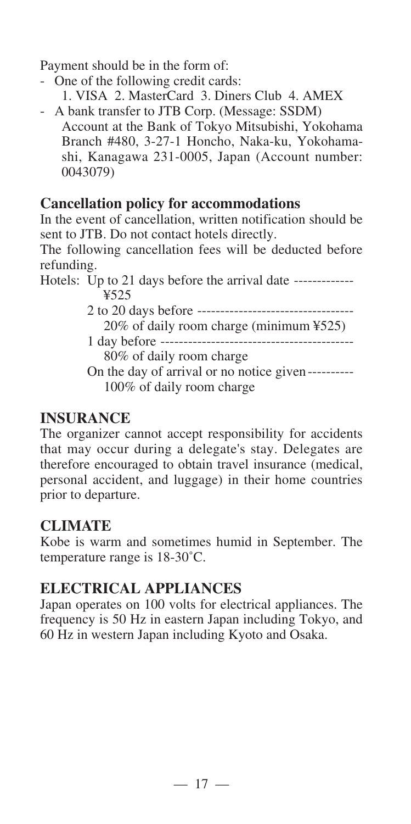Payment should be in the form of:

- One of the following credit cards:
- 1. VISA 2. MasterCard 3. Diners Club 4. AMEX
- A bank transfer to JTB Corp. (Message: SSDM) Account at the Bank of Tokyo Mitsubishi, Yokohama Branch #480, 3-27-1 Honcho, Naka-ku, Yokohamashi, Kanagawa 231-0005, Japan (Account number: 0043079)

## **Cancellation policy for accommodations**

In the event of cancellation, written notification should be sent to JTB. Do not contact hotels directly.

The following cancellation fees will be deducted before refunding.

Hotels: Up to 21 days before the arrival date --------------¥525

2 to 20 days before ---------------------------------- 20% of daily room charge (minimum ¥525)

1 day before ------------------------------------------

80% of daily room charge

On the day of arrival or no notice given---------- 100% of daily room charge

## **INSURANCE**

The organizer cannot accept responsibility for accidents that may occur during a delegate's stay. Delegates are therefore encouraged to obtain travel insurance (medical, personal accident, and luggage) in their home countries prior to departure.

## **CLIMATE**

Kobe is warm and sometimes humid in September. The temperature range is 18-30˚C.

## **ELECTRICAL APPLIANCES**

Japan operates on 100 volts for electrical appliances. The frequency is 50 Hz in eastern Japan including Tokyo, and 60 Hz in western Japan including Kyoto and Osaka.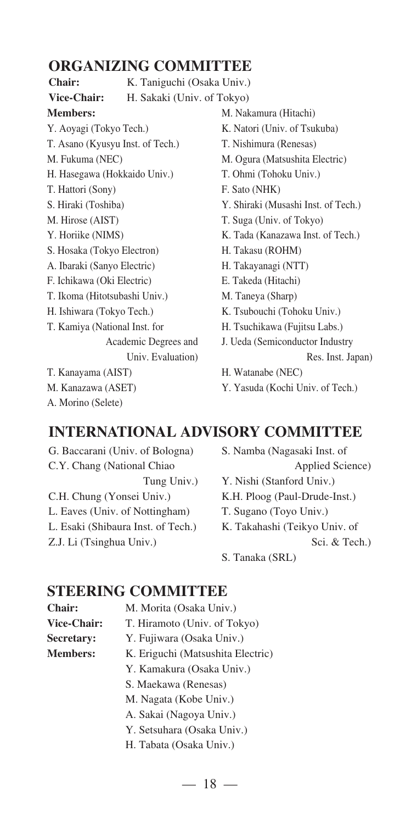## **ORGANIZING COMMITTEE**

**Members:** Y. Aoyagi (Tokyo Tech.) T. Asano (Kyusyu Inst. of Tech.) M. Fukuma (NEC) H. Hasegawa (Hokkaido Univ.) T. Hattori (Sony) S. Hiraki (Toshiba) M. Hirose (AIST) Y. Horiike (NIMS) S. Hosaka (Tokyo Electron) A. Ibaraki (Sanyo Electric) F. Ichikawa (Oki Electric) T. Ikoma (Hitotsubashi Univ.) H. Ishiwara (Tokyo Tech.) T. Kamiya (National Inst. for Academic Degrees and Univ. Evaluation) T. Kanayama (AIST) M. Kanazawa (ASET) A. Morino (Selete) Chair: K. Taniguchi (Osaka Univ.) **Vice-Chair:** H. Sakaki (Univ. of Tokyo)

M. Nakamura (Hitachi) K. Natori (Univ. of Tsukuba) T. Nishimura (Renesas) M. Ogura (Matsushita Electric) T. Ohmi (Tohoku Univ.) F. Sato (NHK) Y. Shiraki (Musashi Inst. of Tech.) T. Suga (Univ. of Tokyo) K. Tada (Kanazawa Inst. of Tech.) H. Takasu (ROHM) H. Takayanagi (NTT) E. Takeda (Hitachi) M. Taneya (Sharp) K. Tsubouchi (Tohoku Univ.) H. Tsuchikawa (Fujitsu Labs.) J. Ueda (Semiconductor Industry Res. Inst. Japan) H. Watanabe (NEC) Y. Yasuda (Kochi Univ. of Tech.)

## **INTERNATIONAL ADVISORY COMMITTEE**

G. Baccarani (Univ. of Bologna) C.Y. Chang (National Chiao Tung Univ.) C.H. Chung (Yonsei Univ.) L. Eaves (Univ. of Nottingham) L. Esaki (Shibaura Inst. of Tech.) Z.J. Li (Tsinghua Univ.)

S. Namba (Nagasaki Inst. of Applied Science) Y. Nishi (Stanford Univ.) K.H. Ploog (Paul-Drude-Inst.) T. Sugano (Toyo Univ.) K. Takahashi (Teikyo Univ. of

Sci. & Tech.)

S. Tanaka (SRL)

#### **STEERING COMMITTEE**

- Chair: M. Morita (Osaka Univ.) Vice-Chair: T. Hiramoto (Univ. of Tokyo) Secretary: Y. Fujiwara (Osaka Univ.) **Members:** K. Eriguchi (Matsushita Electric) Y. Kamakura (Osaka Univ.) S. Maekawa (Renesas) M. Nagata (Kobe Univ.) A. Sakai (Nagoya Univ.) Y. Setsuhara (Osaka Univ.)
	- H. Tabata (Osaka Univ.)

 $-18 -$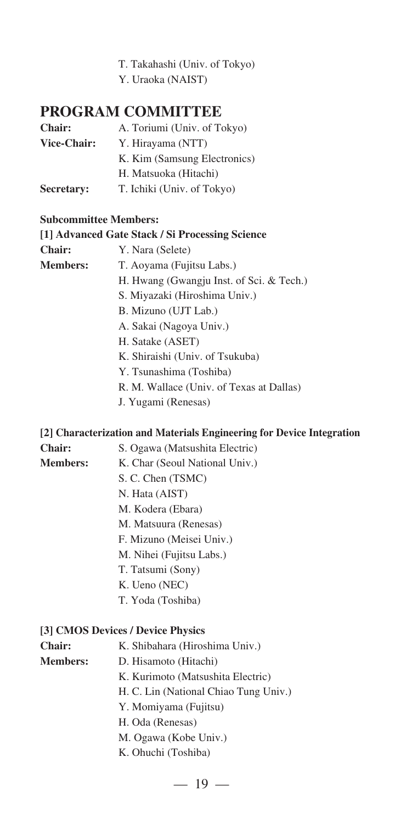- T. Takahashi (Univ. of Tokyo)
- Y. Uraoka (NAIST)

### **PROGRAM COMMITTEE**

| <b>Chair:</b> | A. Toriumi (Univ. of Tokyo)  |
|---------------|------------------------------|
| Vice-Chair:   | Y. Hirayama (NTT)            |
|               | K. Kim (Samsung Electronics) |
|               | H. Matsuoka (Hitachi)        |
| Secretary:    | T. Ichiki (Univ. of Tokyo)   |

#### **Subcommittee Members:**

#### **[1] Advanced Gate Stack / Si Processing Science**

- **Chair:** Y. Nara (Selete)
- **Members:** T. Aoyama (Fujitsu Labs.)
	- H. Hwang (Gwangju Inst. of Sci. & Tech.)
	- S. Miyazaki (Hiroshima Univ.)
	- B. Mizuno (UJT Lab.)
	- A. Sakai (Nagoya Univ.)
	- H. Satake (ASET)
	- K. Shiraishi (Univ. of Tsukuba)
	- Y. Tsunashima (Toshiba)
	- R. M. Wallace (Univ. of Texas at Dallas)
	- J. Yugami (Renesas)

#### **[2] Characterization and Materials Engineering for Device Integration**

- **Chair:** S. Ogawa (Matsushita Electric)
- 
- **Members:** K. Char (Seoul National Univ.)
	- S. C. Chen (TSMC)
		- N. Hata (AIST)
		- M. Kodera (Ebara)
		- M. Matsuura (Renesas)
		- F. Mizuno (Meisei Univ.)
		- M. Nihei (Fujitsu Labs.)
		- T. Tatsumi (Sony)
		- K. Ueno (NEC)
		- T. Yoda (Toshiba)

#### **[3] CMOS Devices / Device Physics**

- **Chair:** K. Shibahara (Hiroshima Univ.)
- **Members:** D. Hisamoto (Hitachi)
	- K. Kurimoto (Matsushita Electric)
	- H. C. Lin (National Chiao Tung Univ.)
	- Y. Momiyama (Fujitsu)
	- H. Oda (Renesas)
	- M. Ogawa (Kobe Univ.)
	- K. Ohuchi (Toshiba)

 $-19-$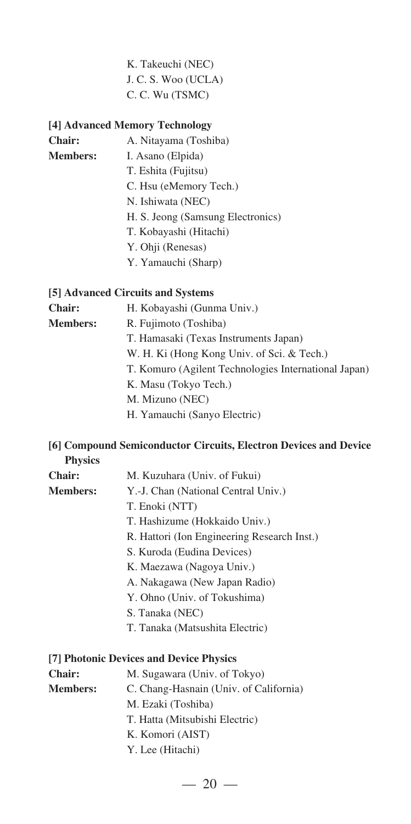#### K. Takeuchi (NEC) J. C. S. Woo (UCLA) C. C. Wu (TSMC)

#### **[4] Advanced Memory Technology**

| Chair:          | A. Nitayama (Toshiba)             |
|-----------------|-----------------------------------|
| <b>Members:</b> | I. Asano (Elpida)                 |
|                 | T. Eshita (Fujitsu)               |
|                 | C. Hsu (eMemory Tech.)            |
|                 | N. Ishiwata (NEC)                 |
|                 | H. S. Jeong (Samsung Electronics) |
|                 | T. Kobayashi (Hitachi)            |
|                 |                                   |

- Y. Ohji (Renesas)
- Y. Yamauchi (Sharp)

#### **[5] Advanced Circuits and Systems**

| Chair:          | H. Kobayashi (Gunma Univ.)                           |
|-----------------|------------------------------------------------------|
| <b>Members:</b> | R. Fujimoto (Toshiba)                                |
|                 | T. Hamasaki (Texas Instruments Japan)                |
|                 | W. H. Ki (Hong Kong Univ. of Sci. & Tech.)           |
|                 | T. Komuro (Agilent Technologies International Japan) |
|                 | K. Masu (Tokyo Tech.)                                |
|                 | M. Mizuno (NEC)                                      |
|                 |                                                      |

H. Yamauchi (Sanyo Electric)

#### **[6] Compound Semiconductor Circuits, Electron Devices and Device Physics**

- **Chair:** M. Kuzuhara (Univ. of Fukui) **Members:** Y.-J. Chan (National Central Univ.)
	- T. Enoki (NTT)
	- T. Hashizume (Hokkaido Univ.)
	- R. Hattori (Ion Engineering Research Inst.)
	- S. Kuroda (Eudina Devices)
	- K. Maezawa (Nagoya Univ.)
	- A. Nakagawa (New Japan Radio)
	- Y. Ohno (Univ. of Tokushima)
	- S. Tanaka (NEC)
	- T. Tanaka (Matsushita Electric)

#### **[7] Photonic Devices and Device Physics**

| <b>Chair:</b>   | M. Sugawara (Univ. of Tokyo)           |
|-----------------|----------------------------------------|
| <b>Members:</b> | C. Chang-Hasnain (Univ. of California) |
|                 | M. Ezaki (Toshiba)                     |
|                 | T. Hatta (Mitsubishi Electric)         |
|                 | K. Komori (AIST)                       |
|                 | Y. Lee (Hitachi)                       |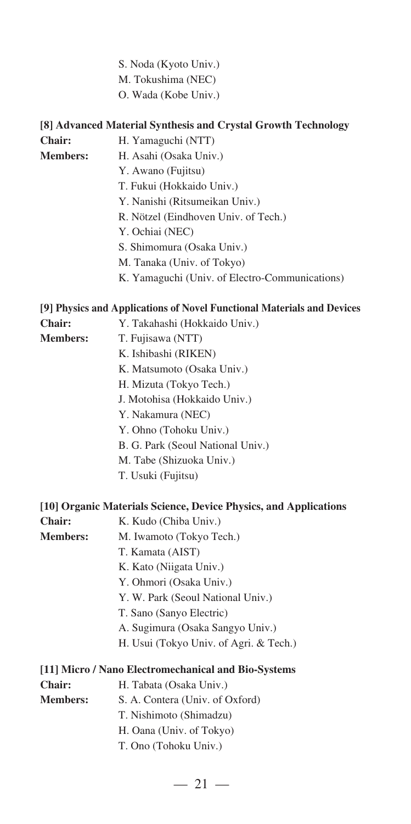- S. Noda (Kyoto Univ.)
- M. Tokushima (NEC)
- O. Wada (Kobe Univ.)

|                 | [8] Advanced Material Synthesis and Crystal Growth Technology          |
|-----------------|------------------------------------------------------------------------|
| Chair:          | H. Yamaguchi (NTT)                                                     |
| <b>Members:</b> | H. Asahi (Osaka Univ.)                                                 |
|                 | Y. Awano (Fujitsu)                                                     |
|                 | T. Fukui (Hokkaido Univ.)                                              |
|                 | Y. Nanishi (Ritsumeikan Univ.)                                         |
|                 | R. Nötzel (Eindhoven Univ. of Tech.)                                   |
|                 | Y. Ochiai (NEC)                                                        |
|                 | S. Shimomura (Osaka Univ.)                                             |
|                 | M. Tanaka (Univ. of Tokyo)                                             |
|                 | K. Yamaguchi (Univ. of Electro-Communications)                         |
|                 | [9] Physics and Applications of Novel Functional Materials and Devices |
| Chair:          | Y. Takahashi (Hokkaido Univ.)                                          |
| <b>Members:</b> | T. Fujisawa (NTT)                                                      |
|                 | K. Ishibashi (RIKEN)                                                   |
|                 | K. Matsumoto (Osaka Univ.)                                             |
|                 | H. Mizuta (Tokyo Tech.)                                                |
|                 | J. Motohisa (Hokkaido Univ.)                                           |
|                 | Y. Nakamura (NEC)                                                      |
|                 | Y. Ohno (Tohoku Univ.)                                                 |
|                 | B. G. Park (Seoul National Univ.)                                      |
|                 | M. Tabe (Shizuoka Univ.)                                               |
|                 | T. Usuki (Fujitsu)                                                     |
|                 | [10] Organic Materials Science, Device Physics, and Applications       |
| Chair:          | K. Kudo (Chiba Univ.)                                                  |
| <b>Members:</b> | M. Iwamoto (Tokyo Tech.)                                               |
|                 | T. Kamata (AIST)                                                       |
|                 | K. Kato (Niigata Univ.)                                                |
|                 | Y. Ohmori (Osaka Univ.)                                                |
|                 | Y. W. Park (Seoul National Univ.)                                      |
|                 | T. Sano (Sanyo Electric)                                               |
|                 | A. Sugimura (Osaka Sangyo Univ.)                                       |
|                 | H. Usui (Tokyo Univ. of Agri. & Tech.)                                 |
|                 | [11] Micro / Nano Electromechanical and Bio-Systems                    |
| <b>Chair:</b>   | H. Tabata (Osaka Univ.)                                                |
| <b>Members:</b> | S. A. Contera (Univ. of Oxford)                                        |
|                 | T. Nishimoto (Shimadzu)                                                |
|                 | H. Oana (Univ. of Tokyo)                                               |

T. Ono (Tohoku Univ.)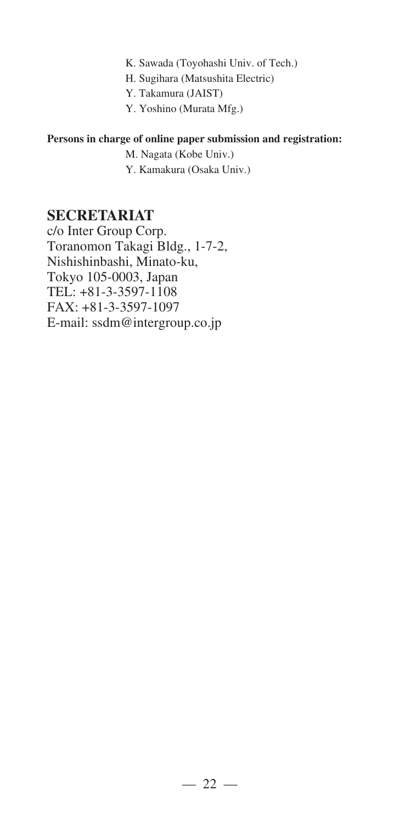- K. Sawada (Toyohashi Univ. of Tech.)
- H. Sugihara (Matsushita Electric)
- Y. Takamura (JAIST)
- Y. Yoshino (Murata Mfg.)

#### **Persons in charge of online paper submission and registration:**

- M. Nagata (Kobe Univ.)
- Y. Kamakura (Osaka Univ.)

#### **SECRETARIAT**

c/o Inter Group Corp. Toranomon Takagi Bldg., 1-7-2, Nishishinbashi, Minato-ku, Tokyo 105-0003, Japan TEL: +81-3-3597-1108 FAX: +81-3-3597-1097 E-mail: ssdm@intergroup.co.jp